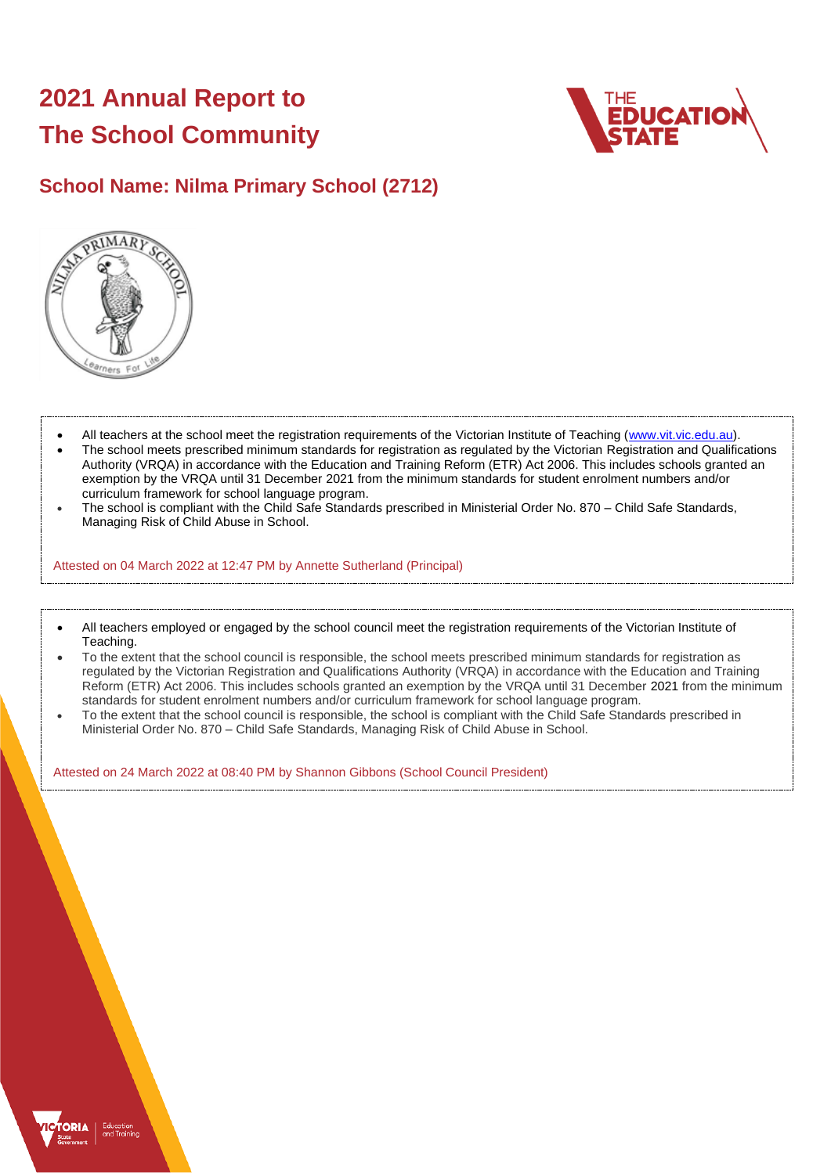# **2021 Annual Report to The School Community**



# **School Name: Nilma Primary School (2712)**



- All teachers at the school meet the registration requirements of the Victorian Institute of Teaching [\(www.vit.vic.edu.au\)](https://www.vit.vic.edu.au/).
- The school meets prescribed minimum standards for registration as regulated by the Victorian Registration and Qualifications Authority (VRQA) in accordance with the Education and Training Reform (ETR) Act 2006. This includes schools granted an exemption by the VRQA until 31 December 2021 from the minimum standards for student enrolment numbers and/or curriculum framework for school language program.
- The school is compliant with the Child Safe Standards prescribed in Ministerial Order No. 870 Child Safe Standards, Managing Risk of Child Abuse in School.

Attested on 04 March 2022 at 12:47 PM by Annette Sutherland (Principal)

- All teachers employed or engaged by the school council meet the registration requirements of the Victorian Institute of Teaching.
- To the extent that the school council is responsible, the school meets prescribed minimum standards for registration as regulated by the Victorian Registration and Qualifications Authority (VRQA) in accordance with the Education and Training Reform (ETR) Act 2006. This includes schools granted an exemption by the VRQA until 31 December 2021 from the minimum standards for student enrolment numbers and/or curriculum framework for school language program.
- To the extent that the school council is responsible, the school is compliant with the Child Safe Standards prescribed in Ministerial Order No. 870 – Child Safe Standards, Managing Risk of Child Abuse in School.

Attested on 24 March 2022 at 08:40 PM by Shannon Gibbons (School Council President)

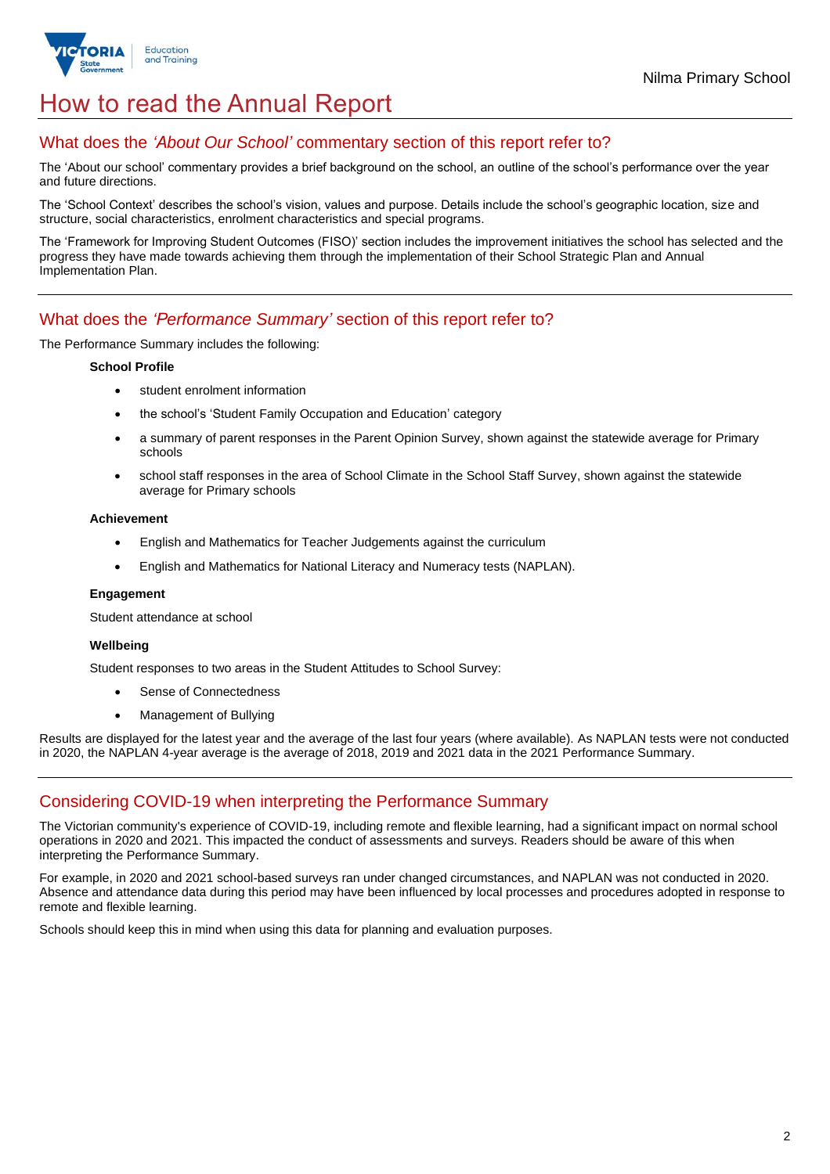

# How to read the Annual Report

### What does the *'About Our School'* commentary section of this report refer to?

The 'About our school' commentary provides a brief background on the school, an outline of the school's performance over the year and future directions.

The 'School Context' describes the school's vision, values and purpose. Details include the school's geographic location, size and structure, social characteristics, enrolment characteristics and special programs.

The 'Framework for Improving Student Outcomes (FISO)' section includes the improvement initiatives the school has selected and the progress they have made towards achieving them through the implementation of their School Strategic Plan and Annual Implementation Plan.

### What does the *'Performance Summary'* section of this report refer to?

The Performance Summary includes the following:

#### **School Profile**

- student enrolment information
- the school's 'Student Family Occupation and Education' category
- a summary of parent responses in the Parent Opinion Survey, shown against the statewide average for Primary schools
- school staff responses in the area of School Climate in the School Staff Survey, shown against the statewide average for Primary schools

#### **Achievement**

- English and Mathematics for Teacher Judgements against the curriculum
- English and Mathematics for National Literacy and Numeracy tests (NAPLAN).

### **Engagement**

Student attendance at school

### **Wellbeing**

Student responses to two areas in the Student Attitudes to School Survey:

- Sense of Connectedness
- Management of Bullying

Results are displayed for the latest year and the average of the last four years (where available). As NAPLAN tests were not conducted in 2020, the NAPLAN 4-year average is the average of 2018, 2019 and 2021 data in the 2021 Performance Summary.

## Considering COVID-19 when interpreting the Performance Summary

The Victorian community's experience of COVID-19, including remote and flexible learning, had a significant impact on normal school operations in 2020 and 2021. This impacted the conduct of assessments and surveys. Readers should be aware of this when interpreting the Performance Summary.

For example, in 2020 and 2021 school-based surveys ran under changed circumstances, and NAPLAN was not conducted in 2020. Absence and attendance data during this period may have been influenced by local processes and procedures adopted in response to remote and flexible learning.

Schools should keep this in mind when using this data for planning and evaluation purposes.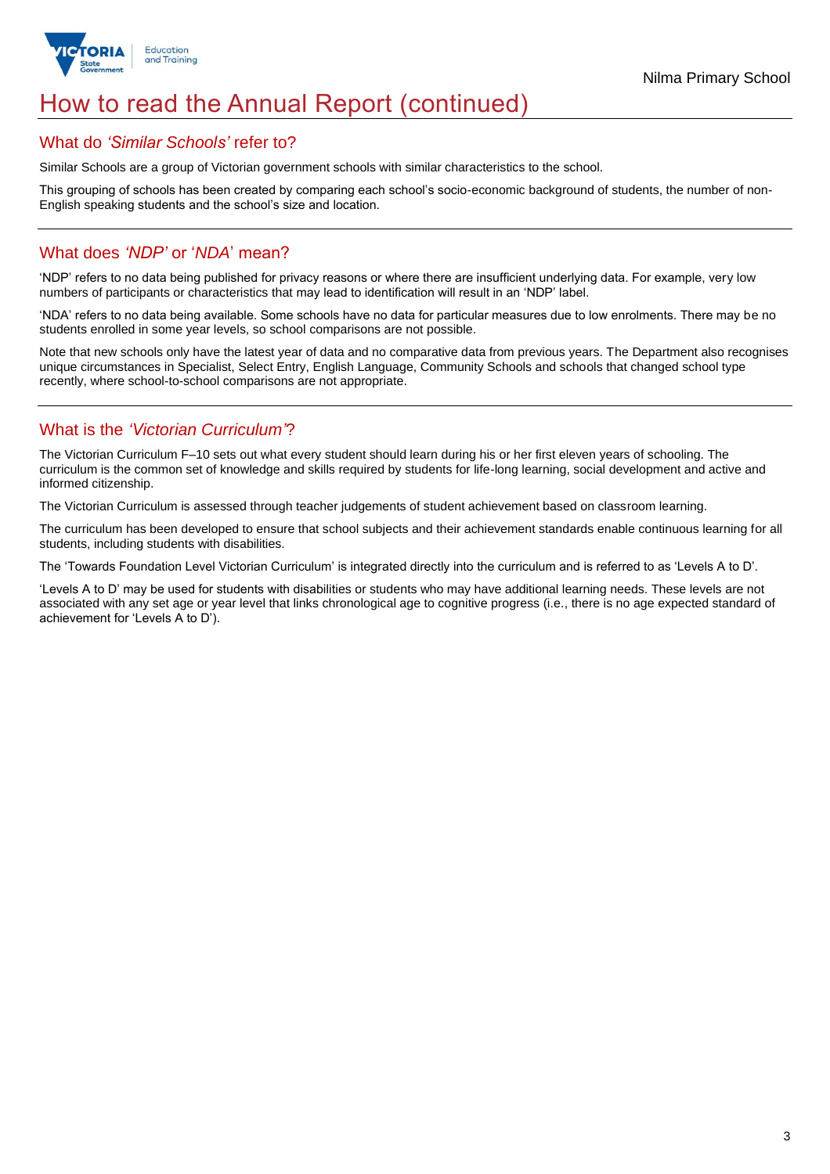

# How to read the Annual Report (continued)

### What do *'Similar Schools'* refer to?

Similar Schools are a group of Victorian government schools with similar characteristics to the school.

This grouping of schools has been created by comparing each school's socio-economic background of students, the number of non-English speaking students and the school's size and location.

### What does *'NDP'* or '*NDA*' mean?

'NDP' refers to no data being published for privacy reasons or where there are insufficient underlying data. For example, very low numbers of participants or characteristics that may lead to identification will result in an 'NDP' label.

'NDA' refers to no data being available. Some schools have no data for particular measures due to low enrolments. There may be no students enrolled in some year levels, so school comparisons are not possible.

Note that new schools only have the latest year of data and no comparative data from previous years. The Department also recognises unique circumstances in Specialist, Select Entry, English Language, Community Schools and schools that changed school type recently, where school-to-school comparisons are not appropriate.

## What is the *'Victorian Curriculum'*?

The Victorian Curriculum F–10 sets out what every student should learn during his or her first eleven years of schooling. The curriculum is the common set of knowledge and skills required by students for life-long learning, social development and active and informed citizenship.

The Victorian Curriculum is assessed through teacher judgements of student achievement based on classroom learning.

The curriculum has been developed to ensure that school subjects and their achievement standards enable continuous learning for all students, including students with disabilities.

The 'Towards Foundation Level Victorian Curriculum' is integrated directly into the curriculum and is referred to as 'Levels A to D'.

'Levels A to D' may be used for students with disabilities or students who may have additional learning needs. These levels are not associated with any set age or year level that links chronological age to cognitive progress (i.e., there is no age expected standard of achievement for 'Levels A to D').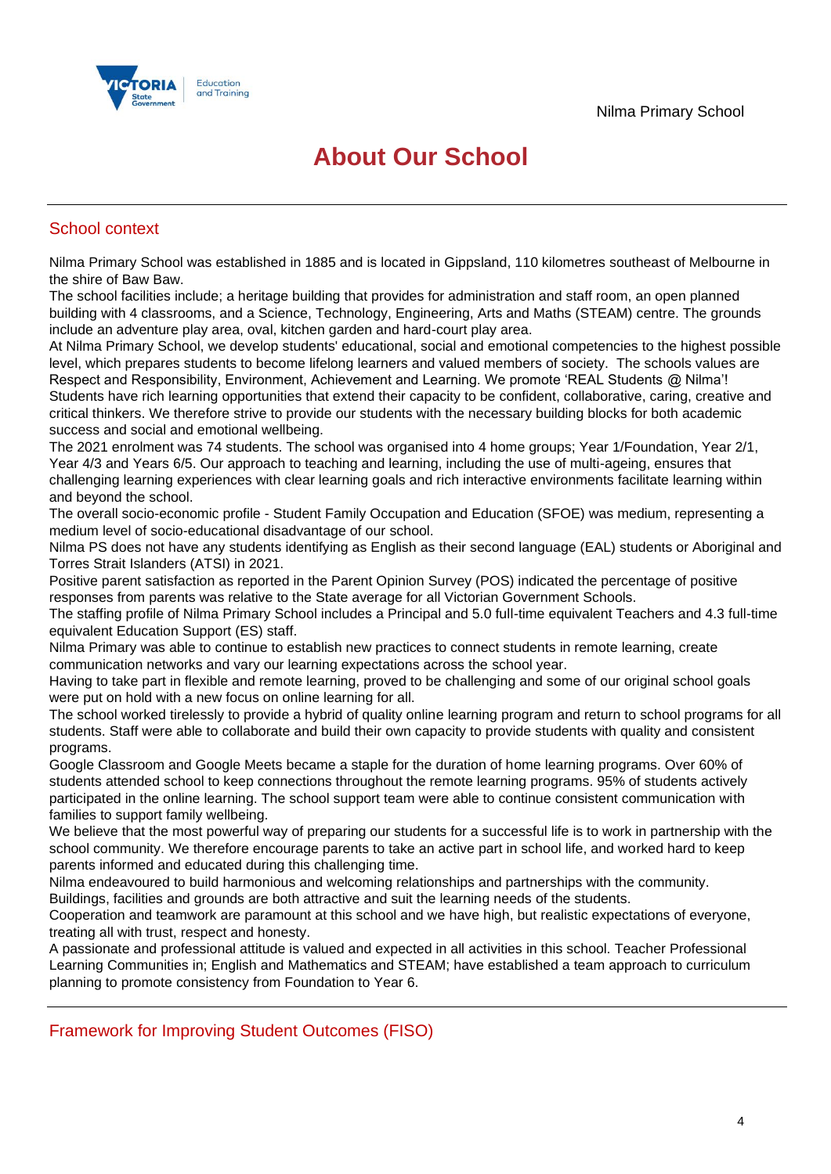

# **About Our School**

## School context

Nilma Primary School was established in 1885 and is located in Gippsland, 110 kilometres southeast of Melbourne in the shire of Baw Baw.

The school facilities include; a heritage building that provides for administration and staff room, an open planned building with 4 classrooms, and a Science, Technology, Engineering, Arts and Maths (STEAM) centre. The grounds include an adventure play area, oval, kitchen garden and hard-court play area.

At Nilma Primary School, we develop students' educational, social and emotional competencies to the highest possible level, which prepares students to become lifelong learners and valued members of society. The schools values are Respect and Responsibility, Environment, Achievement and Learning. We promote 'REAL Students @ Nilma'! Students have rich learning opportunities that extend their capacity to be confident, collaborative, caring, creative and critical thinkers. We therefore strive to provide our students with the necessary building blocks for both academic success and social and emotional wellbeing.

The 2021 enrolment was 74 students. The school was organised into 4 home groups; Year 1/Foundation, Year 2/1, Year 4/3 and Years 6/5. Our approach to teaching and learning, including the use of multi-ageing, ensures that challenging learning experiences with clear learning goals and rich interactive environments facilitate learning within and beyond the school.

The overall socio-economic profile - Student Family Occupation and Education (SFOE) was medium, representing a medium level of socio-educational disadvantage of our school.

Nilma PS does not have any students identifying as English as their second language (EAL) students or Aboriginal and Torres Strait Islanders (ATSI) in 2021.

Positive parent satisfaction as reported in the Parent Opinion Survey (POS) indicated the percentage of positive responses from parents was relative to the State average for all Victorian Government Schools.

The staffing profile of Nilma Primary School includes a Principal and 5.0 full-time equivalent Teachers and 4.3 full-time equivalent Education Support (ES) staff.

Nilma Primary was able to continue to establish new practices to connect students in remote learning, create communication networks and vary our learning expectations across the school year.

Having to take part in flexible and remote learning, proved to be challenging and some of our original school goals were put on hold with a new focus on online learning for all.

The school worked tirelessly to provide a hybrid of quality online learning program and return to school programs for all students. Staff were able to collaborate and build their own capacity to provide students with quality and consistent programs.

Google Classroom and Google Meets became a staple for the duration of home learning programs. Over 60% of students attended school to keep connections throughout the remote learning programs. 95% of students actively participated in the online learning. The school support team were able to continue consistent communication with families to support family wellbeing.

We believe that the most powerful way of preparing our students for a successful life is to work in partnership with the school community. We therefore encourage parents to take an active part in school life, and worked hard to keep parents informed and educated during this challenging time.

Nilma endeavoured to build harmonious and welcoming relationships and partnerships with the community. Buildings, facilities and grounds are both attractive and suit the learning needs of the students.

Cooperation and teamwork are paramount at this school and we have high, but realistic expectations of everyone,

treating all with trust, respect and honesty.

A passionate and professional attitude is valued and expected in all activities in this school. Teacher Professional Learning Communities in; English and Mathematics and STEAM; have established a team approach to curriculum planning to promote consistency from Foundation to Year 6.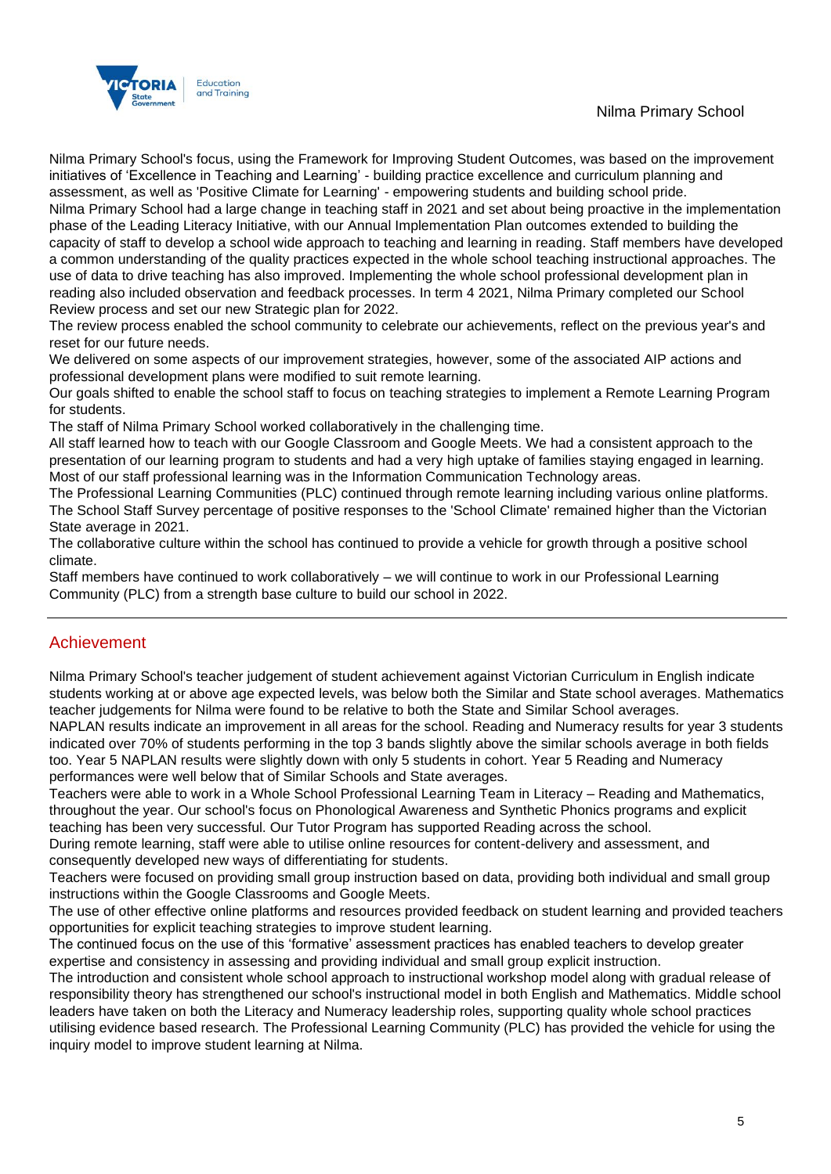## Nilma Primary School



Nilma Primary School's focus, using the Framework for Improving Student Outcomes, was based on the improvement initiatives of 'Excellence in Teaching and Learning' - building practice excellence and curriculum planning and assessment, as well as 'Positive Climate for Learning' - empowering students and building school pride.

Nilma Primary School had a large change in teaching staff in 2021 and set about being proactive in the implementation phase of the Leading Literacy Initiative, with our Annual Implementation Plan outcomes extended to building the capacity of staff to develop a school wide approach to teaching and learning in reading. Staff members have developed a common understanding of the quality practices expected in the whole school teaching instructional approaches. The use of data to drive teaching has also improved. Implementing the whole school professional development plan in reading also included observation and feedback processes. In term 4 2021, Nilma Primary completed our School Review process and set our new Strategic plan for 2022.

The review process enabled the school community to celebrate our achievements, reflect on the previous year's and reset for our future needs.

We delivered on some aspects of our improvement strategies, however, some of the associated AIP actions and professional development plans were modified to suit remote learning.

Our goals shifted to enable the school staff to focus on teaching strategies to implement a Remote Learning Program for students.

The staff of Nilma Primary School worked collaboratively in the challenging time.

All staff learned how to teach with our Google Classroom and Google Meets. We had a consistent approach to the presentation of our learning program to students and had a very high uptake of families staying engaged in learning. Most of our staff professional learning was in the Information Communication Technology areas.

The Professional Learning Communities (PLC) continued through remote learning including various online platforms. The School Staff Survey percentage of positive responses to the 'School Climate' remained higher than the Victorian State average in 2021.

The collaborative culture within the school has continued to provide a vehicle for growth through a positive school climate.

Staff members have continued to work collaboratively – we will continue to work in our Professional Learning Community (PLC) from a strength base culture to build our school in 2022.

## Achievement

Nilma Primary School's teacher judgement of student achievement against Victorian Curriculum in English indicate students working at or above age expected levels, was below both the Similar and State school averages. Mathematics teacher judgements for Nilma were found to be relative to both the State and Similar School averages.

NAPLAN results indicate an improvement in all areas for the school. Reading and Numeracy results for year 3 students indicated over 70% of students performing in the top 3 bands slightly above the similar schools average in both fields too. Year 5 NAPLAN results were slightly down with only 5 students in cohort. Year 5 Reading and Numeracy performances were well below that of Similar Schools and State averages.

Teachers were able to work in a Whole School Professional Learning Team in Literacy – Reading and Mathematics, throughout the year. Our school's focus on Phonological Awareness and Synthetic Phonics programs and explicit teaching has been very successful. Our Tutor Program has supported Reading across the school.

During remote learning, staff were able to utilise online resources for content-delivery and assessment, and consequently developed new ways of differentiating for students.

Teachers were focused on providing small group instruction based on data, providing both individual and small group instructions within the Google Classrooms and Google Meets.

The use of other effective online platforms and resources provided feedback on student learning and provided teachers opportunities for explicit teaching strategies to improve student learning.

The continued focus on the use of this 'formative' assessment practices has enabled teachers to develop greater expertise and consistency in assessing and providing individual and small group explicit instruction.

The introduction and consistent whole school approach to instructional workshop model along with gradual release of responsibility theory has strengthened our school's instructional model in both English and Mathematics. Middle school leaders have taken on both the Literacy and Numeracy leadership roles, supporting quality whole school practices utilising evidence based research. The Professional Learning Community (PLC) has provided the vehicle for using the inquiry model to improve student learning at Nilma.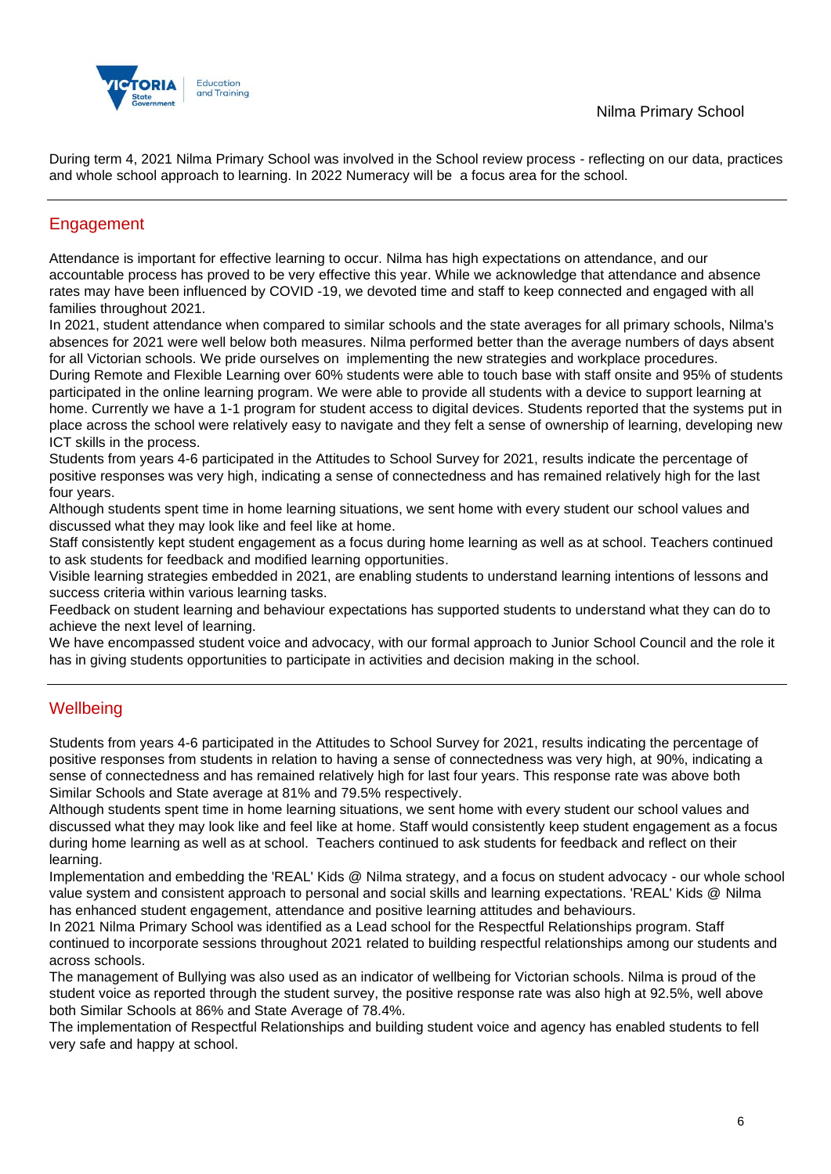

During term 4, 2021 Nilma Primary School was involved in the School review process - reflecting on our data, practices and whole school approach to learning. In 2022 Numeracy will be a focus area for the school.

# Engagement

Attendance is important for effective learning to occur. Nilma has high expectations on attendance, and our accountable process has proved to be very effective this year. While we acknowledge that attendance and absence rates may have been influenced by COVID -19, we devoted time and staff to keep connected and engaged with all families throughout 2021.

In 2021, student attendance when compared to similar schools and the state averages for all primary schools, Nilma's absences for 2021 were well below both measures. Nilma performed better than the average numbers of days absent for all Victorian schools. We pride ourselves on implementing the new strategies and workplace procedures.

During Remote and Flexible Learning over 60% students were able to touch base with staff onsite and 95% of students participated in the online learning program. We were able to provide all students with a device to support learning at home. Currently we have a 1-1 program for student access to digital devices. Students reported that the systems put in place across the school were relatively easy to navigate and they felt a sense of ownership of learning, developing new ICT skills in the process.

Students from years 4-6 participated in the Attitudes to School Survey for 2021, results indicate the percentage of positive responses was very high, indicating a sense of connectedness and has remained relatively high for the last four years.

Although students spent time in home learning situations, we sent home with every student our school values and discussed what they may look like and feel like at home.

Staff consistently kept student engagement as a focus during home learning as well as at school. Teachers continued to ask students for feedback and modified learning opportunities.

Visible learning strategies embedded in 2021, are enabling students to understand learning intentions of lessons and success criteria within various learning tasks.

Feedback on student learning and behaviour expectations has supported students to understand what they can do to achieve the next level of learning.

We have encompassed student voice and advocacy, with our formal approach to Junior School Council and the role it has in giving students opportunities to participate in activities and decision making in the school.

## **Wellbeing**

Students from years 4-6 participated in the Attitudes to School Survey for 2021, results indicating the percentage of positive responses from students in relation to having a sense of connectedness was very high, at 90%, indicating a sense of connectedness and has remained relatively high for last four years. This response rate was above both Similar Schools and State average at 81% and 79.5% respectively.

Although students spent time in home learning situations, we sent home with every student our school values and discussed what they may look like and feel like at home. Staff would consistently keep student engagement as a focus during home learning as well as at school. Teachers continued to ask students for feedback and reflect on their learning.

Implementation and embedding the 'REAL' Kids @ Nilma strategy, and a focus on student advocacy - our whole school value system and consistent approach to personal and social skills and learning expectations. 'REAL' Kids @ Nilma has enhanced student engagement, attendance and positive learning attitudes and behaviours.

In 2021 Nilma Primary School was identified as a Lead school for the Respectful Relationships program. Staff continued to incorporate sessions throughout 2021 related to building respectful relationships among our students and across schools.

The management of Bullying was also used as an indicator of wellbeing for Victorian schools. Nilma is proud of the student voice as reported through the student survey, the positive response rate was also high at 92.5%, well above both Similar Schools at 86% and State Average of 78.4%.

The implementation of Respectful Relationships and building student voice and agency has enabled students to fell very safe and happy at school.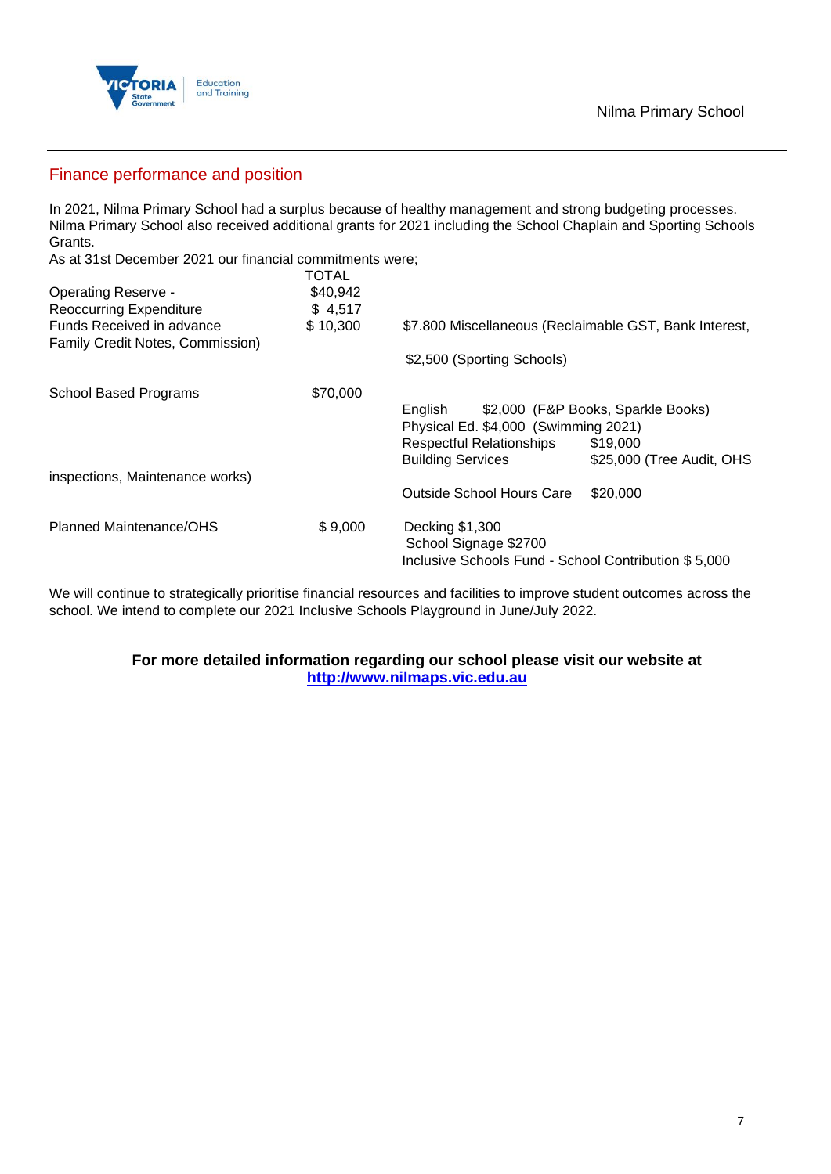

### Finance performance and position

In 2021, Nilma Primary School had a surplus because of healthy management and strong budgeting processes. Nilma Primary School also received additional grants for 2021 including the School Chaplain and Sporting Schools Grants.

As at 31st December 2021 our financial commitments were;

|                                                               | TOTAL    |                                                        |                                    |
|---------------------------------------------------------------|----------|--------------------------------------------------------|------------------------------------|
| <b>Operating Reserve -</b>                                    | \$40,942 |                                                        |                                    |
| <b>Reoccurring Expenditure</b>                                | \$4,517  |                                                        |                                    |
| Funds Received in advance<br>Family Credit Notes, Commission) | \$10,300 | \$7.800 Miscellaneous (Reclaimable GST, Bank Interest, |                                    |
|                                                               |          | \$2,500 (Sporting Schools)                             |                                    |
| <b>School Based Programs</b>                                  | \$70,000 |                                                        |                                    |
|                                                               |          | English                                                | \$2,000 (F&P Books, Sparkle Books) |
|                                                               |          | Physical Ed. \$4,000 (Swimming 2021)                   |                                    |
|                                                               |          | <b>Respectful Relationships</b>                        | \$19,000                           |
|                                                               |          | <b>Building Services</b>                               | \$25,000 (Tree Audit, OHS          |
| inspections, Maintenance works)                               |          |                                                        |                                    |
|                                                               |          | Outside School Hours Care                              | \$20,000                           |
| Planned Maintenance/OHS                                       | \$9,000  | Decking \$1,300<br>School Signage \$2700               |                                    |
|                                                               |          | Inclusive Schools Fund - School Contribution \$5,000   |                                    |
|                                                               |          |                                                        |                                    |

We will continue to strategically prioritise financial resources and facilities to improve student outcomes across the school. We intend to complete our 2021 Inclusive Schools Playground in June/July 2022.

### **For more detailed information regarding our school please visit our website at [http://www.nilmaps.vic.edu.au](http://www.nilmaps.vic.edu.au/)**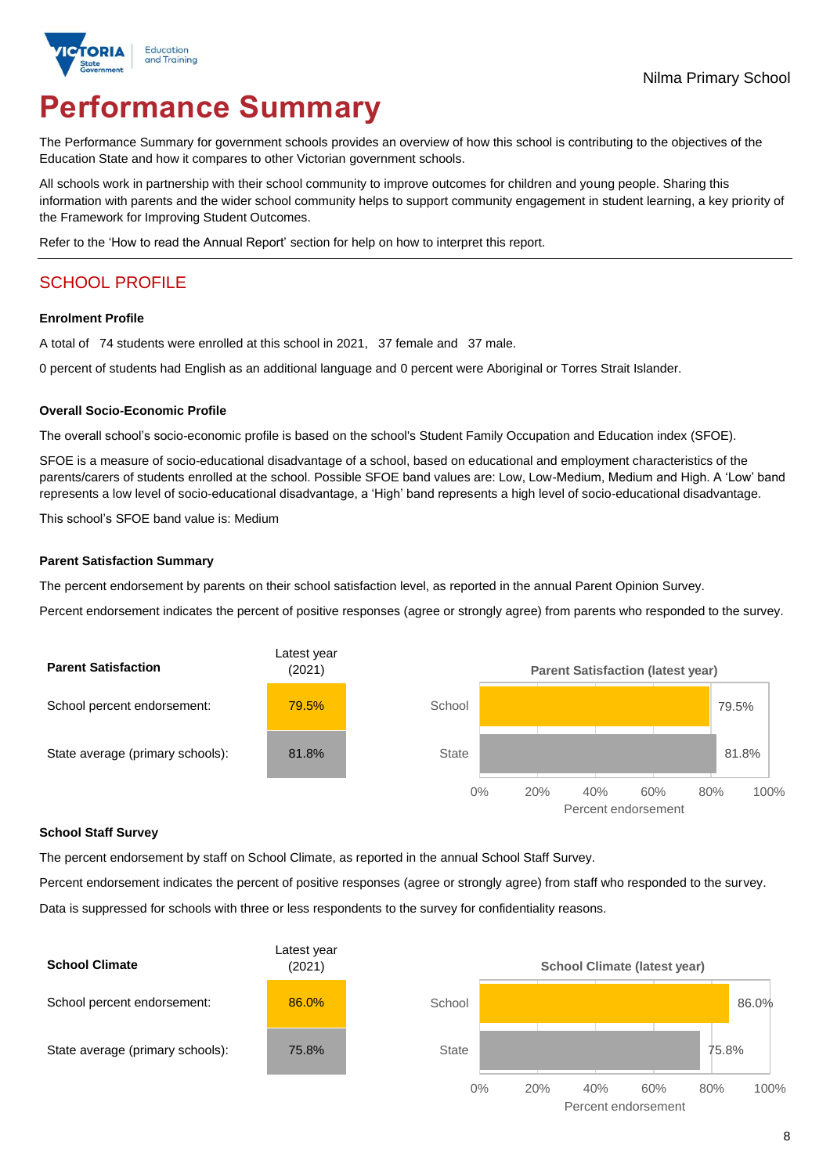

# **Performance Summary**

The Performance Summary for government schools provides an overview of how this school is contributing to the objectives of the Education State and how it compares to other Victorian government schools.

All schools work in partnership with their school community to improve outcomes for children and young people. Sharing this information with parents and the wider school community helps to support community engagement in student learning, a key priority of the Framework for Improving Student Outcomes.

Refer to the 'How to read the Annual Report' section for help on how to interpret this report.

# SCHOOL PROFILE

#### **Enrolment Profile**

A total of 74 students were enrolled at this school in 2021, 37 female and 37 male.

0 percent of students had English as an additional language and 0 percent were Aboriginal or Torres Strait Islander.

#### **Overall Socio-Economic Profile**

The overall school's socio-economic profile is based on the school's Student Family Occupation and Education index (SFOE).

SFOE is a measure of socio-educational disadvantage of a school, based on educational and employment characteristics of the parents/carers of students enrolled at the school. Possible SFOE band values are: Low, Low-Medium, Medium and High. A 'Low' band represents a low level of socio-educational disadvantage, a 'High' band represents a high level of socio-educational disadvantage.

This school's SFOE band value is: Medium

### **Parent Satisfaction Summary**

The percent endorsement by parents on their school satisfaction level, as reported in the annual Parent Opinion Survey.

Percent endorsement indicates the percent of positive responses (agree or strongly agree) from parents who responded to the survey.



### **School Staff Survey**

The percent endorsement by staff on School Climate, as reported in the annual School Staff Survey.

Percent endorsement indicates the percent of positive responses (agree or strongly agree) from staff who responded to the survey. Data is suppressed for schools with three or less respondents to the survey for confidentiality reasons.

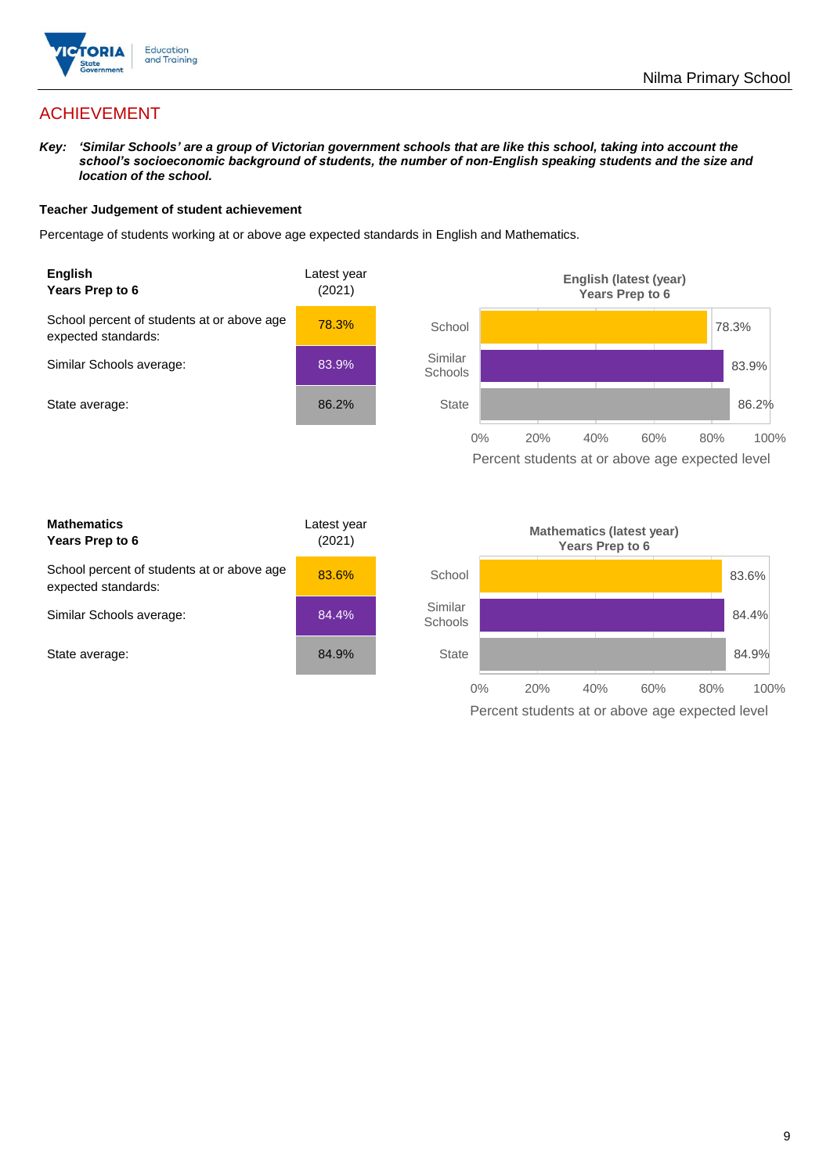

# ACHIEVEMENT

*Key: 'Similar Schools' are a group of Victorian government schools that are like this school, taking into account the school's socioeconomic background of students, the number of non-English speaking students and the size and location of the school.*

### **Teacher Judgement of student achievement**

Percentage of students working at or above age expected standards in English and Mathematics.



Percent students at or above age expected level

| <b>Mathematics</b><br>Years Prep to 6                             | Latest year<br>(2021) |
|-------------------------------------------------------------------|-----------------------|
| School percent of students at or above age<br>expected standards: | 83.6%                 |
| Similar Schools average:                                          | 84.4%                 |
| State average:                                                    | 84.9%                 |

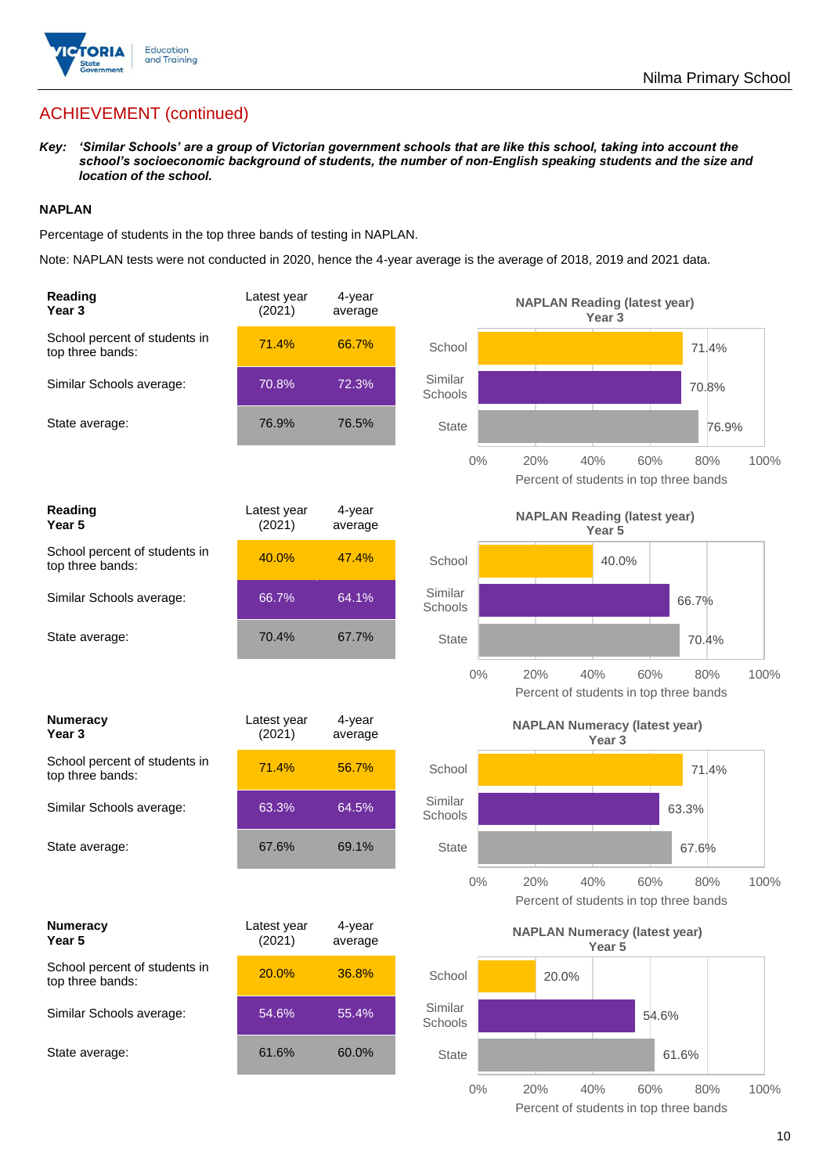

# ACHIEVEMENT (continued)

*Key: 'Similar Schools' are a group of Victorian government schools that are like this school, taking into account the school's socioeconomic background of students, the number of non-English speaking students and the size and location of the school.*

### **NAPLAN**

Percentage of students in the top three bands of testing in NAPLAN.

Note: NAPLAN tests were not conducted in 2020, hence the 4-year average is the average of 2018, 2019 and 2021 data.

| Reading<br>Year <sub>3</sub>                      | Latest year<br>(2021) | 4-year<br>average |                    | <b>NAPLAN Reading (latest year)</b><br>Year 3                              |
|---------------------------------------------------|-----------------------|-------------------|--------------------|----------------------------------------------------------------------------|
| School percent of students in<br>top three bands: | 71.4%                 | 66.7%             | School             | 71.4%                                                                      |
| Similar Schools average:                          | 70.8%                 | 72.3%             | Similar<br>Schools | 70.8%                                                                      |
| State average:                                    | 76.9%                 | 76.5%             | <b>State</b>       | 76.9%                                                                      |
|                                                   |                       |                   | $0\%$              | 20%<br>40%<br>60%<br>100%<br>80%<br>Percent of students in top three bands |
| Reading<br>Year <sub>5</sub>                      | Latest year<br>(2021) | 4-year<br>average |                    | <b>NAPLAN Reading (latest year)</b><br>Year 5                              |
| School percent of students in<br>top three bands: | 40.0%                 | 47.4%             | School             | 40.0%                                                                      |
| Similar Schools average:                          | 66.7%                 | 64.1%             | Similar<br>Schools | 66.7%                                                                      |
| State average:                                    | 70.4%                 | 67.7%             | <b>State</b>       | 70.4%                                                                      |
|                                                   |                       |                   | $0\%$              | 20%<br>40%<br>60%<br>80%<br>100%<br>Percent of students in top three bands |
|                                                   |                       |                   |                    |                                                                            |
| <b>Numeracy</b><br>Year <sub>3</sub>              | Latest year<br>(2021) | 4-year<br>average |                    | <b>NAPLAN Numeracy (latest year)</b><br>Year <sub>3</sub>                  |
| School percent of students in<br>top three bands: | 71.4%                 | 56.7%             | School             | 71.4%                                                                      |
| Similar Schools average:                          | 63.3%                 | 64.5%             | Similar<br>Schools | 63.3%                                                                      |
| State average:                                    | 67.6%                 | 69.1%             | <b>State</b>       | 67.6%                                                                      |
|                                                   |                       |                   | $0\%$              | 20%<br>40%<br>60%<br>80%<br>100%<br>Percent of students in top three bands |
| <b>Numeracy</b><br>Year 5                         | Latest year<br>(2021) | 4-year<br>average |                    | <b>NAPLAN Numeracy (latest year)</b><br>Year 5                             |
| School percent of students in<br>top three bands: | 20.0%                 | 36.8%             | School             | 20.0%                                                                      |
| Similar Schools average:                          | 54.6%                 | 55.4%             | Similar<br>Schools | 54.6%                                                                      |
| State average:                                    | 61.6%                 | 60.0%             | <b>State</b>       | 61.6%                                                                      |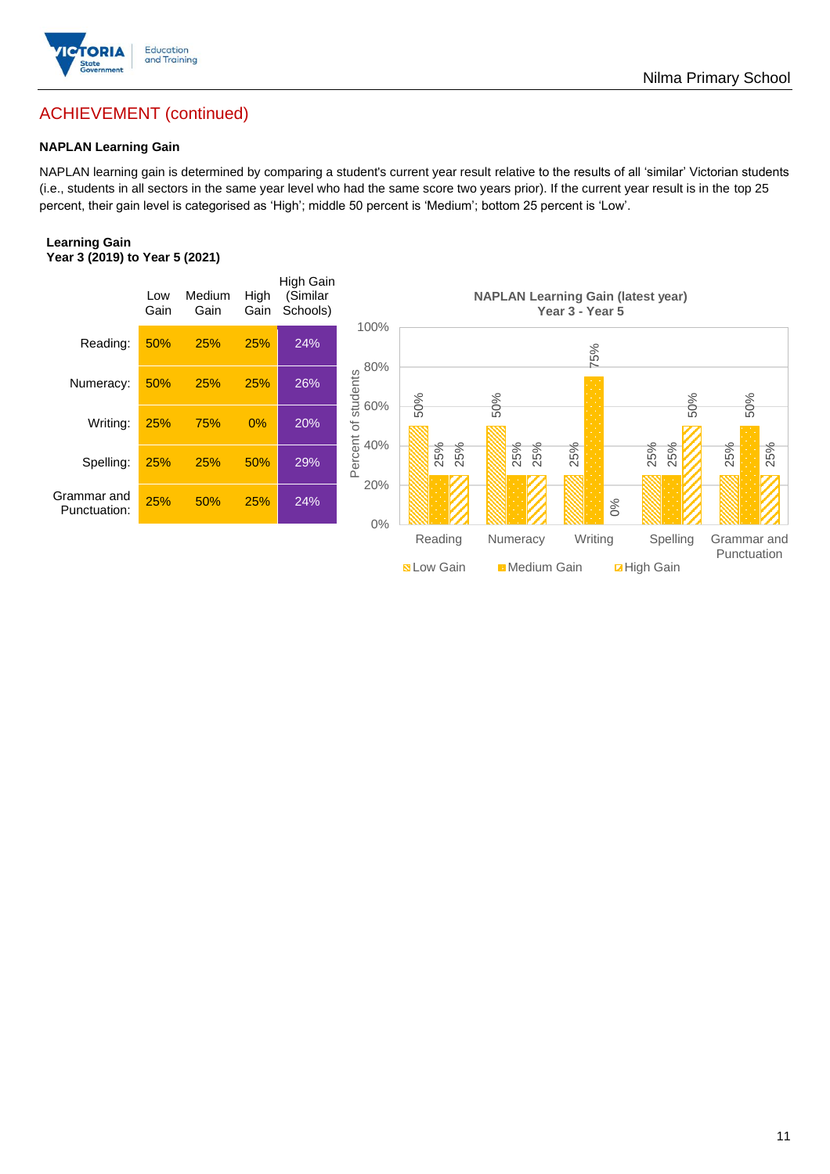

# ACHIEVEMENT (continued)

### **NAPLAN Learning Gain**

NAPLAN learning gain is determined by comparing a student's current year result relative to the results of all 'similar' Victorian students (i.e., students in all sectors in the same year level who had the same score two years prior). If the current year result is in the top 25 percent, their gain level is categorised as 'High'; middle 50 percent is 'Medium'; bottom 25 percent is 'Low'.

### **Learning Gain Year 3 (2019) to Year 5 (2021)**



Nilma Primary School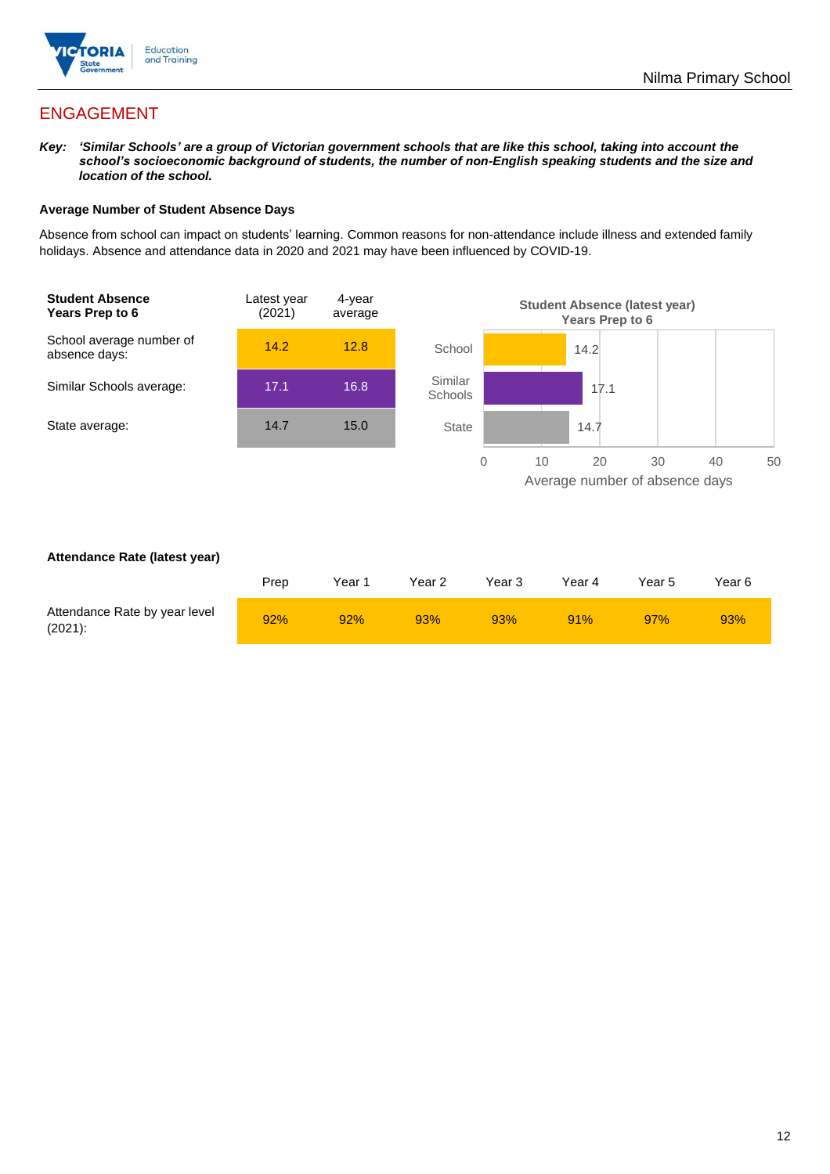

# ENGAGEMENT

*Key: 'Similar Schools' are a group of Victorian government schools that are like this school, taking into account the school's socioeconomic background of students, the number of non-English speaking students and the size and location of the school.*

### **Average Number of Student Absence Days**

Absence from school can impact on students' learning. Common reasons for non-attendance include illness and extended family holidays. Absence and attendance data in 2020 and 2021 may have been influenced by COVID-19.



### **Attendance Rate (latest year)**

|                                             | Prep | Year 1 | Year 2 | Year 3 | Year 4 | Year 5 | Year 6 |
|---------------------------------------------|------|--------|--------|--------|--------|--------|--------|
| Attendance Rate by year level<br>$(2021)$ : | 92%  | 92%    | 93%    | 93%    | 91%    | 97%    | 93%    |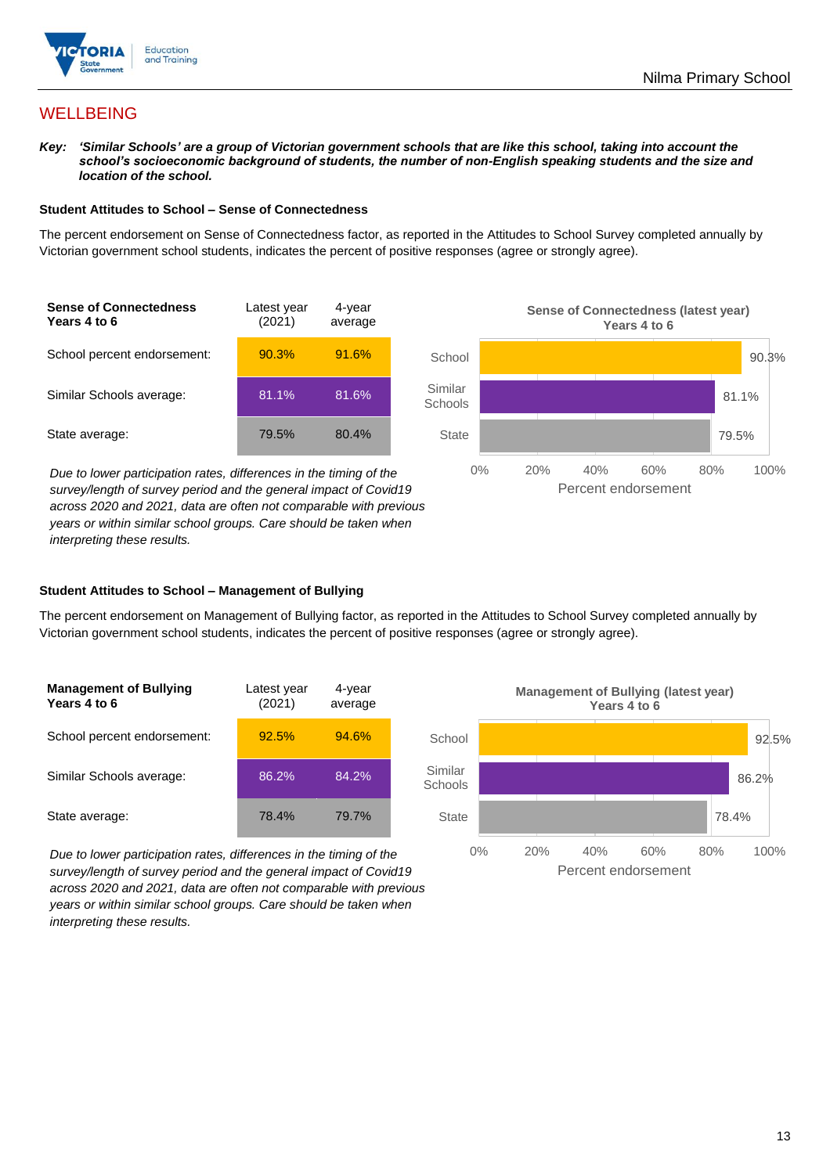

## **WELLBEING**

*Key: 'Similar Schools' are a group of Victorian government schools that are like this school, taking into account the school's socioeconomic background of students, the number of non-English speaking students and the size and location of the school.*

#### **Student Attitudes to School – Sense of Connectedness**

The percent endorsement on Sense of Connectedness factor, as reported in the Attitudes to School Survey completed annually by Victorian government school students, indicates the percent of positive responses (agree or strongly agree).



*Due to lower participation rates, differences in the timing of the survey/length of survey period and the general impact of Covid19 across 2020 and 2021, data are often not comparable with previous years or within similar school groups. Care should be taken when interpreting these results.*



### **Student Attitudes to School – Management of Bullying**

The percent endorsement on Management of Bullying factor, as reported in the Attitudes to School Survey completed annually by Victorian government school students, indicates the percent of positive responses (agree or strongly agree).

| <b>Management of Bullying</b><br>Years 4 to 6 | Latest year<br>(2021) | 4-year<br>average |  |
|-----------------------------------------------|-----------------------|-------------------|--|
| School percent endorsement:                   | 92.5%                 | 94.6%             |  |
| Similar Schools average:                      | 86.2%                 | 84.2%             |  |
| State average:                                | 78.4%                 | 79.7%             |  |

*Due to lower participation rates, differences in the timing of the survey/length of survey period and the general impact of Covid19 across 2020 and 2021, data are often not comparable with previous years or within similar school groups. Care should be taken when interpreting these results.*

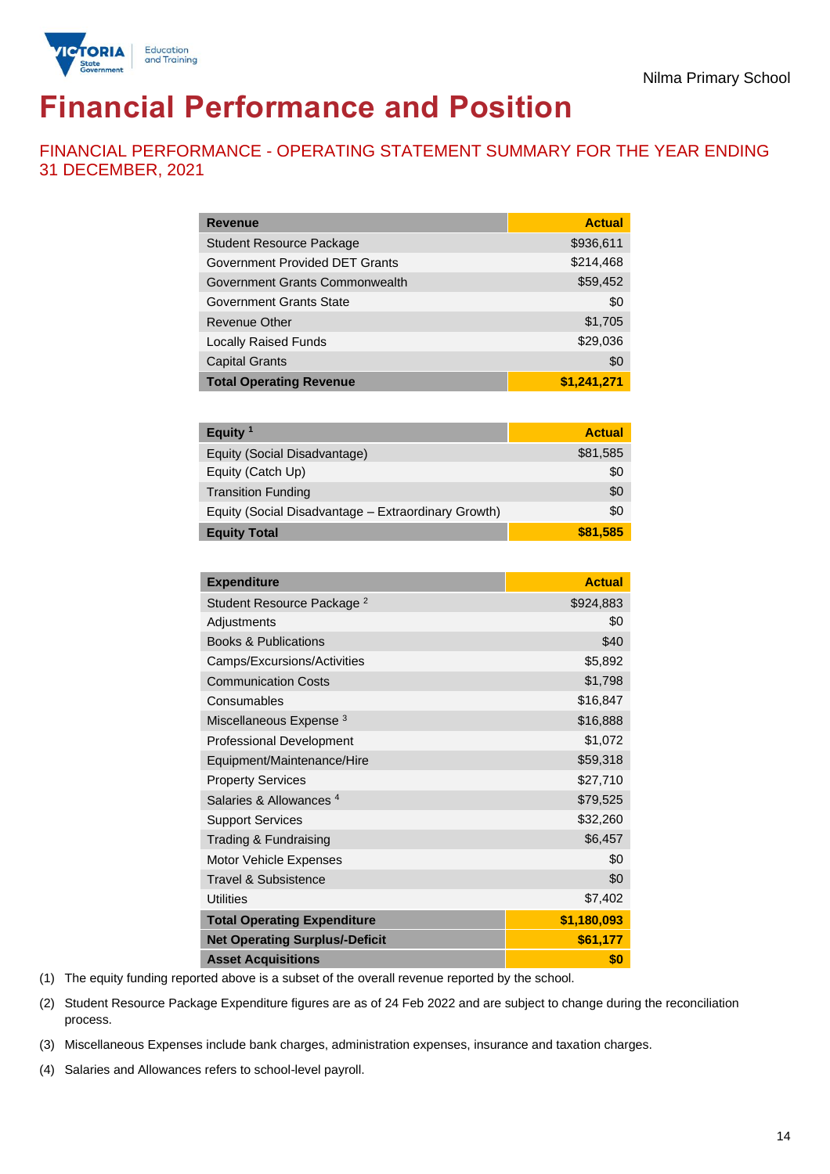

# **Financial Performance and Position**

FINANCIAL PERFORMANCE - OPERATING STATEMENT SUMMARY FOR THE YEAR ENDING 31 DECEMBER, 2021

| <b>Revenue</b>                        | <b>Actual</b> |
|---------------------------------------|---------------|
| <b>Student Resource Package</b>       | \$936,611     |
| <b>Government Provided DET Grants</b> | \$214,468     |
| Government Grants Commonwealth        | \$59,452      |
| <b>Government Grants State</b>        | \$0           |
| <b>Revenue Other</b>                  | \$1,705       |
| <b>Locally Raised Funds</b>           | \$29,036      |
| <b>Capital Grants</b>                 | \$0           |
| <b>Total Operating Revenue</b>        | \$1,241,271   |

| Equity <sup>1</sup>                                 | <b>Actual</b> |
|-----------------------------------------------------|---------------|
| Equity (Social Disadvantage)                        | \$81,585      |
| Equity (Catch Up)                                   | \$0           |
| <b>Transition Funding</b>                           | \$0           |
| Equity (Social Disadvantage - Extraordinary Growth) | \$0           |
| <b>Equity Total</b>                                 | \$81,585      |

| <b>Expenditure</b>                    | <b>Actual</b> |
|---------------------------------------|---------------|
| Student Resource Package <sup>2</sup> | \$924,883     |
| Adjustments                           | \$0           |
| <b>Books &amp; Publications</b>       | \$40          |
| Camps/Excursions/Activities           | \$5,892       |
| <b>Communication Costs</b>            | \$1,798       |
| Consumables                           | \$16,847      |
| Miscellaneous Expense <sup>3</sup>    | \$16,888      |
| <b>Professional Development</b>       | \$1,072       |
| Equipment/Maintenance/Hire            | \$59,318      |
| <b>Property Services</b>              | \$27,710      |
| Salaries & Allowances <sup>4</sup>    | \$79,525      |
| <b>Support Services</b>               | \$32,260      |
| Trading & Fundraising                 | \$6,457       |
| Motor Vehicle Expenses                | \$0           |
| Travel & Subsistence                  | \$0           |
| <b>Utilities</b>                      | \$7,402       |
| <b>Total Operating Expenditure</b>    | \$1,180,093   |
| <b>Net Operating Surplus/-Deficit</b> | \$61,177      |
| <b>Asset Acquisitions</b>             | \$0           |

(1) The equity funding reported above is a subset of the overall revenue reported by the school.

(2) Student Resource Package Expenditure figures are as of 24 Feb 2022 and are subject to change during the reconciliation process.

(3) Miscellaneous Expenses include bank charges, administration expenses, insurance and taxation charges.

(4) Salaries and Allowances refers to school-level payroll.